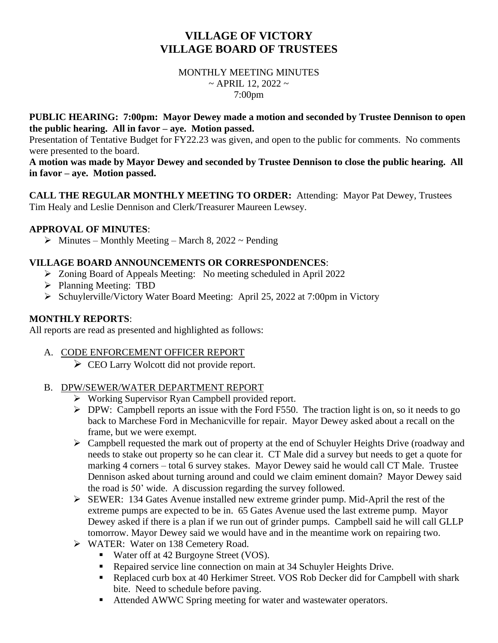# **VILLAGE OF VICTORY VILLAGE BOARD OF TRUSTEES**

#### MONTHLY MEETING MINUTES  $\sim$  APRIL 12, 2022  $\sim$ 7:00pm

#### **PUBLIC HEARING: 7:00pm: Mayor Dewey made a motion and seconded by Trustee Dennison to open the public hearing. All in favor – aye. Motion passed.**

Presentation of Tentative Budget for FY22.23 was given, and open to the public for comments. No comments were presented to the board.

**A motion was made by Mayor Dewey and seconded by Trustee Dennison to close the public hearing. All in favor – aye. Motion passed.**

**CALL THE REGULAR MONTHLY MEETING TO ORDER:** Attending: Mayor Pat Dewey, Trustees Tim Healy and Leslie Dennison and Clerk/Treasurer Maureen Lewsey.

#### **APPROVAL OF MINUTES**:

 $\triangleright$  Minutes – Monthly Meeting – March 8, 2022 ~ Pending

#### **VILLAGE BOARD ANNOUNCEMENTS OR CORRESPONDENCES**:

- ➢ Zoning Board of Appeals Meeting: No meeting scheduled in April 2022
- ➢ Planning Meeting: TBD
- ➢ Schuylerville/Victory Water Board Meeting: April 25, 2022 at 7:00pm in Victory

#### **MONTHLY REPORTS**:

All reports are read as presented and highlighted as follows:

- A. CODE ENFORCEMENT OFFICER REPORT
	- ➢ CEO Larry Wolcott did not provide report.

#### B. DPW/SEWER/WATER DEPARTMENT REPORT

- ➢ Working Supervisor Ryan Campbell provided report.
- ➢ DPW: Campbell reports an issue with the Ford F550. The traction light is on, so it needs to go back to Marchese Ford in Mechanicville for repair. Mayor Dewey asked about a recall on the frame, but we were exempt.
- ➢ Campbell requested the mark out of property at the end of Schuyler Heights Drive (roadway and needs to stake out property so he can clear it. CT Male did a survey but needs to get a quote for marking 4 corners – total 6 survey stakes. Mayor Dewey said he would call CT Male. Trustee Dennison asked about turning around and could we claim eminent domain? Mayor Dewey said the road is 50' wide. A discussion regarding the survey followed.
- ➢ SEWER: 134 Gates Avenue installed new extreme grinder pump. Mid-April the rest of the extreme pumps are expected to be in. 65 Gates Avenue used the last extreme pump. Mayor Dewey asked if there is a plan if we run out of grinder pumps. Campbell said he will call GLLP tomorrow. Mayor Dewey said we would have and in the meantime work on repairing two.
- ➢ WATER: Water on 138 Cemetery Road.
	- Water off at 42 Burgoyne Street (VOS).
	- Repaired service line connection on main at 34 Schuyler Heights Drive.
	- Replaced curb box at 40 Herkimer Street. VOS Rob Decker did for Campbell with shark bite. Need to schedule before paving.
	- Attended AWWC Spring meeting for water and wastewater operators.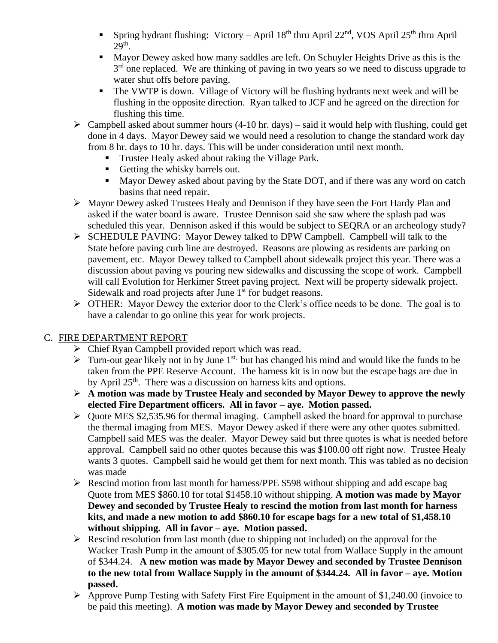- Spring hydrant flushing: Victory April 18<sup>th</sup> thru April 22<sup>nd</sup>, VOS April 25<sup>th</sup> thru April  $29<sup>th</sup>$ .
- Mayor Dewey asked how many saddles are left. On Schuyler Heights Drive as this is the 3<sup>rd</sup> one replaced. We are thinking of paving in two years so we need to discuss upgrade to water shut offs before paving.
- The VWTP is down. Village of Victory will be flushing hydrants next week and will be flushing in the opposite direction. Ryan talked to JCF and he agreed on the direction for flushing this time.
- $\triangleright$  Campbell asked about summer hours (4-10 hr. days) said it would help with flushing, could get done in 4 days. Mayor Dewey said we would need a resolution to change the standard work day from 8 hr. days to 10 hr. days. This will be under consideration until next month.
	- **Trustee Healy asked about raking the Village Park.**
	- Getting the whisky barrels out.
	- Mayor Dewey asked about paving by the State DOT, and if there was any word on catch basins that need repair.
- ➢ Mayor Dewey asked Trustees Healy and Dennison if they have seen the Fort Hardy Plan and asked if the water board is aware. Trustee Dennison said she saw where the splash pad was scheduled this year. Dennison asked if this would be subject to SEQRA or an archeology study?
- ➢ SCHEDULE PAVING: Mayor Dewey talked to DPW Campbell. Campbell will talk to the State before paving curb line are destroyed. Reasons are plowing as residents are parking on pavement, etc. Mayor Dewey talked to Campbell about sidewalk project this year. There was a discussion about paving vs pouring new sidewalks and discussing the scope of work. Campbell will call Evolution for Herkimer Street paving project. Next will be property sidewalk project. Sidewalk and road projects after June 1<sup>st</sup> for budget reasons.
- ➢ OTHER: Mayor Dewey the exterior door to the Clerk's office needs to be done. The goal is to have a calendar to go online this year for work projects.

## C. FIRE DEPARTMENT REPORT

- ➢ Chief Ryan Campbell provided report which was read.
- $\triangleright$  Turn-out gear likely not in by June 1<sup>st,</sup> but has changed his mind and would like the funds to be taken from the PPE Reserve Account. The harness kit is in now but the escape bags are due in by April 25<sup>th</sup>. There was a discussion on harness kits and options.
- ➢ **A motion was made by Trustee Healy and seconded by Mayor Dewey to approve the newly elected Fire Department officers. All in favor – aye. Motion passed.**
- ➢ Quote MES \$2,535.96 for thermal imaging. Campbell asked the board for approval to purchase the thermal imaging from MES. Mayor Dewey asked if there were any other quotes submitted. Campbell said MES was the dealer. Mayor Dewey said but three quotes is what is needed before approval. Campbell said no other quotes because this was \$100.00 off right now. Trustee Healy wants 3 quotes. Campbell said he would get them for next month. This was tabled as no decision was made
- ➢ Rescind motion from last month for harness/PPE \$598 without shipping and add escape bag Quote from MES \$860.10 for total \$1458.10 without shipping. **A motion was made by Mayor Dewey and seconded by Trustee Healy to rescind the motion from last month for harness kits, and made a new motion to add \$860.10 for escape bags for a new total of \$1,458.10 without shipping. All in favor – aye. Motion passed.**
- $\triangleright$  Rescind resolution from last month (due to shipping not included) on the approval for the Wacker Trash Pump in the amount of \$305.05 for new total from Wallace Supply in the amount of \$344.24. **A new motion was made by Mayor Dewey and seconded by Trustee Dennison to the new total from Wallace Supply in the amount of \$344.24. All in favor – aye. Motion passed.**
- ➢ Approve Pump Testing with Safety First Fire Equipment in the amount of \$1,240.00 (invoice to be paid this meeting). **A motion was made by Mayor Dewey and seconded by Trustee**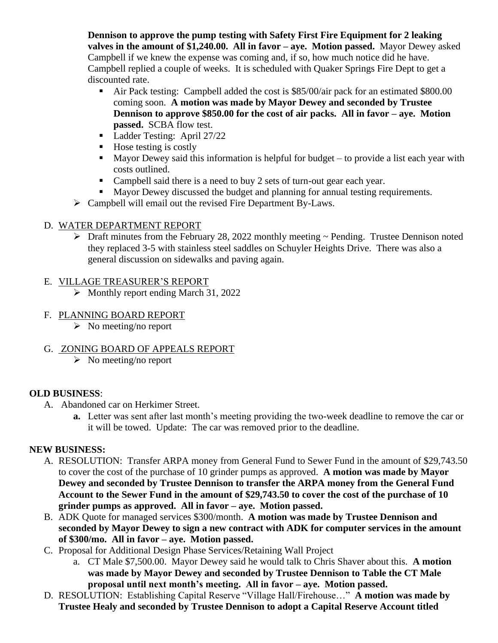**Dennison to approve the pump testing with Safety First Fire Equipment for 2 leaking valves in the amount of \$1,240.00. All in favor – aye. Motion passed.** Mayor Dewey asked Campbell if we knew the expense was coming and, if so, how much notice did he have. Campbell replied a couple of weeks. It is scheduled with Quaker Springs Fire Dept to get a discounted rate.

- Air Pack testing: Campbell added the cost is \$85/00/air pack for an estimated \$800.00 coming soon. **A motion was made by Mayor Dewey and seconded by Trustee Dennison to approve \$850.00 for the cost of air packs. All in favor – aye. Motion passed.** SCBA flow test.
- Ladder Testing: April 27/22
- $\blacksquare$  Hose testing is costly
- Mayor Dewey said this information is helpful for budget to provide a list each year with costs outlined.
- Campbell said there is a need to buy 2 sets of turn-out gear each year.
- Mayor Dewey discussed the budget and planning for annual testing requirements.
- ➢ Campbell will email out the revised Fire Department By-Laws.

## D. WATER DEPARTMENT REPORT

 $\triangleright$  Draft minutes from the February 28, 2022 monthly meeting  $\sim$  Pending. Trustee Dennison noted they replaced 3-5 with stainless steel saddles on Schuyler Heights Drive. There was also a general discussion on sidewalks and paving again.

## E. VILLAGE TREASURER'S REPORT

➢ Monthly report ending March 31, 2022

## F. PLANNING BOARD REPORT

 $\triangleright$  No meeting/no report

## G. ZONING BOARD OF APPEALS REPORT

➢ No meeting/no report

## **OLD BUSINESS**:

- A. Abandoned car on Herkimer Street.
	- **a.** Letter was sent after last month's meeting providing the two-week deadline to remove the car or it will be towed. Update: The car was removed prior to the deadline.

## **NEW BUSINESS:**

- A. RESOLUTION: Transfer ARPA money from General Fund to Sewer Fund in the amount of \$29,743.50 to cover the cost of the purchase of 10 grinder pumps as approved. **A motion was made by Mayor Dewey and seconded by Trustee Dennison to transfer the ARPA money from the General Fund Account to the Sewer Fund in the amount of \$29,743.50 to cover the cost of the purchase of 10 grinder pumps as approved. All in favor – aye. Motion passed.**
- B. ADK Quote for managed services \$300/month. **A motion was made by Trustee Dennison and seconded by Mayor Dewey to sign a new contract with ADK for computer services in the amount of \$300/mo. All in favor – aye. Motion passed.**
- C. Proposal for Additional Design Phase Services/Retaining Wall Project
	- a. CT Male \$7,500.00. Mayor Dewey said he would talk to Chris Shaver about this. **A motion was made by Mayor Dewey and seconded by Trustee Dennison to Table the CT Male proposal until next month's meeting. All in favor – aye. Motion passed.**
- D. RESOLUTION: Establishing Capital Reserve "Village Hall/Firehouse…" **A motion was made by Trustee Healy and seconded by Trustee Dennison to adopt a Capital Reserve Account titled**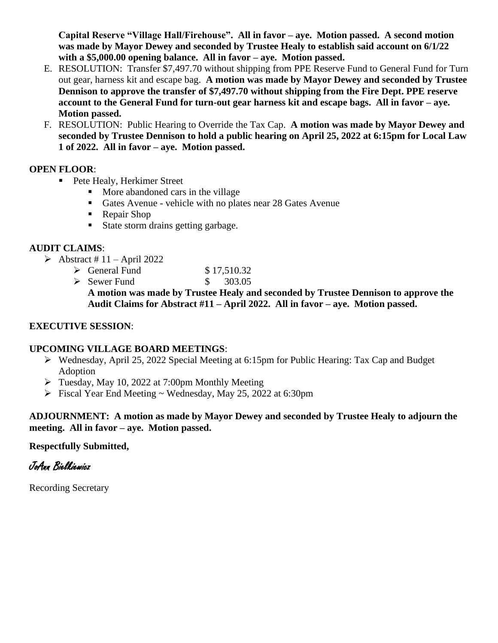**Capital Reserve "Village Hall/Firehouse". All in favor – aye. Motion passed. A second motion was made by Mayor Dewey and seconded by Trustee Healy to establish said account on 6/1/22 with a \$5,000.00 opening balance. All in favor – aye. Motion passed.**

- E. RESOLUTION: Transfer \$7,497.70 without shipping from PPE Reserve Fund to General Fund for Turn out gear, harness kit and escape bag. **A motion was made by Mayor Dewey and seconded by Trustee Dennison to approve the transfer of \$7,497.70 without shipping from the Fire Dept. PPE reserve account to the General Fund for turn-out gear harness kit and escape bags. All in favor – aye. Motion passed.**
- F. RESOLUTION: Public Hearing to Override the Tax Cap. **A motion was made by Mayor Dewey and seconded by Trustee Dennison to hold a public hearing on April 25, 2022 at 6:15pm for Local Law 1 of 2022. All in favor – aye. Motion passed.**

#### **OPEN FLOOR**:

- Pete Healy, Herkimer Street
	- More abandoned cars in the village
	- Gates Avenue vehicle with no plates near 28 Gates Avenue
	- Repair Shop
	- State storm drains getting garbage.

#### **AUDIT CLAIMS**:

- $\blacktriangleright$  Abstract # 11 April 2022
	- $\geq$  General Fund \$ 17.510.32
	- $\geq$  Sewer Fund \$ 303.05

**A motion was made by Trustee Healy and seconded by Trustee Dennison to approve the Audit Claims for Abstract #11 – April 2022. All in favor – aye. Motion passed.**

#### **EXECUTIVE SESSION**:

#### **UPCOMING VILLAGE BOARD MEETINGS**:

- ➢ Wednesday, April 25, 2022 Special Meeting at 6:15pm for Public Hearing: Tax Cap and Budget Adoption
- ➢ Tuesday, May 10, 2022 at 7:00pm Monthly Meeting
- $\triangleright$  Fiscal Year End Meeting ~ Wednesday, May 25, 2022 at 6:30pm

#### **ADJOURNMENT: A motion as made by Mayor Dewey and seconded by Trustee Healy to adjourn the meeting. All in favor – aye. Motion passed.**

#### **Respectfully Submitted,**

# JoAnn Bielkiewicz

Recording Secretary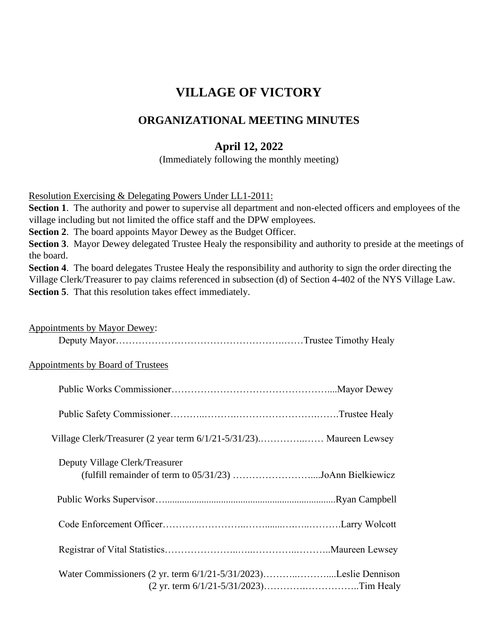# **VILLAGE OF VICTORY**

## **ORGANIZATIONAL MEETING MINUTES**

## **April 12, 2022**

(Immediately following the monthly meeting)

Resolution Exercising & Delegating Powers Under LL1-2011:

**Section 1**. The authority and power to supervise all department and non-elected officers and employees of the village including but not limited the office staff and the DPW employees.

**Section 2**. The board appoints Mayor Dewey as the Budget Officer.

**Section 3**. Mayor Dewey delegated Trustee Healy the responsibility and authority to preside at the meetings of the board.

**Section 4.** The board delegates Trustee Healy the responsibility and authority to sign the order directing the Village Clerk/Treasurer to pay claims referenced in subsection (d) of Section 4-402 of the NYS Village Law. **Section 5**. That this resolution takes effect immediately.

| <b>Appointments by Mayor Dewey:</b>                                                         |
|---------------------------------------------------------------------------------------------|
|                                                                                             |
| <b>Appointments by Board of Trustees</b>                                                    |
|                                                                                             |
|                                                                                             |
| Village Clerk/Treasurer (2 year term 6/1/21-5/31/23) Maureen Lewsey                         |
| Deputy Village Clerk/Treasurer<br>(fulfill remainder of term to 05/31/23) JoAnn Bielkiewicz |
|                                                                                             |
|                                                                                             |
|                                                                                             |
| Water Commissioners (2 yr. term 6/1/21-5/31/2023)Leslie Dennison                            |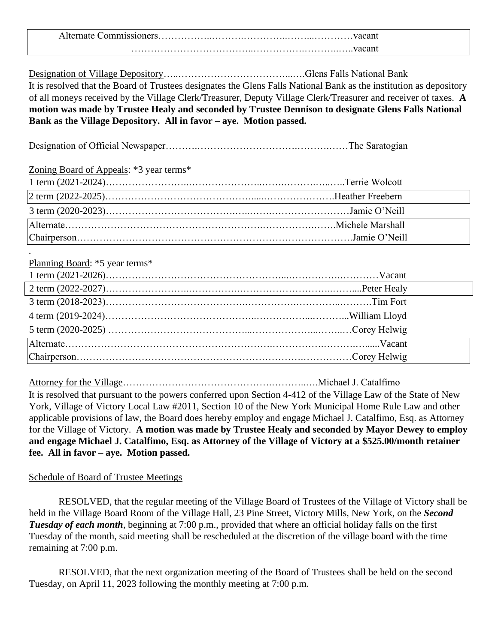Alternate Commissioners……………..……….…………..……...…………vacant ………………………………..…………….………..…..vacant

Designation of Village Depository…..……………………………...….Glens Falls National Bank

It is resolved that the Board of Trustees designates the Glens Falls National Bank as the institution as depository of all moneys received by the Village Clerk/Treasurer, Deputy Village Clerk/Treasurer and receiver of taxes. **A motion was made by Trustee Healy and seconded by Trustee Dennison to designate Glens Falls National Bank as the Village Depository. All in favor – aye. Motion passed.**

Designation of Official Newspaper……….………………………….……….……The Saratogian

Zoning Board of Appeals: \*3 year terms\*

Planning Board: \*5 year terms\*

.

Attorney for the Village……………………………………….………..….Michael J. Catalfimo

It is resolved that pursuant to the powers conferred upon Section 4-412 of the Village Law of the State of New York, Village of Victory Local Law #2011, Section 10 of the New York Municipal Home Rule Law and other applicable provisions of law, the Board does hereby employ and engage Michael J. Catalfimo, Esq. as Attorney for the Village of Victory. **A motion was made by Trustee Healy and seconded by Mayor Dewey to employ and engage Michael J. Catalfimo, Esq. as Attorney of the Village of Victory at a \$525.00/month retainer fee. All in favor – aye. Motion passed.**

Schedule of Board of Trustee Meetings

RESOLVED, that the regular meeting of the Village Board of Trustees of the Village of Victory shall be held in the Village Board Room of the Village Hall, 23 Pine Street, Victory Mills, New York, on the *Second Tuesday of each month*, beginning at 7:00 p.m., provided that where an official holiday falls on the first Tuesday of the month, said meeting shall be rescheduled at the discretion of the village board with the time remaining at 7:00 p.m.

RESOLVED, that the next organization meeting of the Board of Trustees shall be held on the second Tuesday, on April 11, 2023 following the monthly meeting at 7:00 p.m.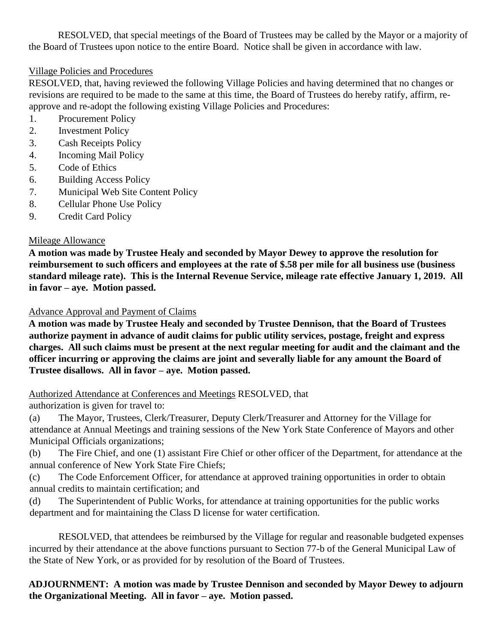RESOLVED, that special meetings of the Board of Trustees may be called by the Mayor or a majority of the Board of Trustees upon notice to the entire Board. Notice shall be given in accordance with law.

#### Village Policies and Procedures

RESOLVED, that, having reviewed the following Village Policies and having determined that no changes or revisions are required to be made to the same at this time, the Board of Trustees do hereby ratify, affirm, reapprove and re-adopt the following existing Village Policies and Procedures:

- 1. Procurement Policy
- 2. Investment Policy
- 3. Cash Receipts Policy
- 4. Incoming Mail Policy
- 5. Code of Ethics
- 6. Building Access Policy
- 7. Municipal Web Site Content Policy
- 8. Cellular Phone Use Policy
- 9. Credit Card Policy

#### Mileage Allowance

**A motion was made by Trustee Healy and seconded by Mayor Dewey to approve the resolution for reimbursement to such officers and employees at the rate of \$.58 per mile for all business use (business standard mileage rate). This is the Internal Revenue Service, mileage rate effective January 1, 2019. All in favor – aye. Motion passed.**

#### Advance Approval and Payment of Claims

**A motion was made by Trustee Healy and seconded by Trustee Dennison, that the Board of Trustees authorize payment in advance of audit claims for public utility services, postage, freight and express charges. All such claims must be present at the next regular meeting for audit and the claimant and the officer incurring or approving the claims are joint and severally liable for any amount the Board of Trustee disallows. All in favor – aye. Motion passed.** 

Authorized Attendance at Conferences and Meetings RESOLVED, that authorization is given for travel to:

(a) The Mayor, Trustees, Clerk/Treasurer, Deputy Clerk/Treasurer and Attorney for the Village for attendance at Annual Meetings and training sessions of the New York State Conference of Mayors and other Municipal Officials organizations;

(b) The Fire Chief, and one (1) assistant Fire Chief or other officer of the Department, for attendance at the annual conference of New York State Fire Chiefs;

(c) The Code Enforcement Officer, for attendance at approved training opportunities in order to obtain annual credits to maintain certification; and

(d) The Superintendent of Public Works, for attendance at training opportunities for the public works department and for maintaining the Class D license for water certification.

RESOLVED, that attendees be reimbursed by the Village for regular and reasonable budgeted expenses incurred by their attendance at the above functions pursuant to Section 77-b of the General Municipal Law of the State of New York, or as provided for by resolution of the Board of Trustees.

**ADJOURNMENT: A motion was made by Trustee Dennison and seconded by Mayor Dewey to adjourn the Organizational Meeting. All in favor – aye. Motion passed.**